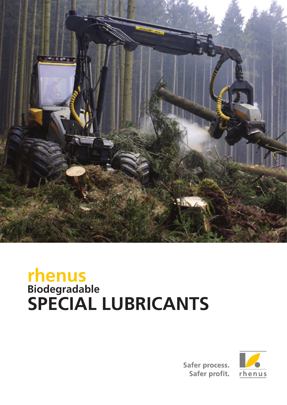

# **rhenus Biodegradable SPECIAL LUBRICANTS**



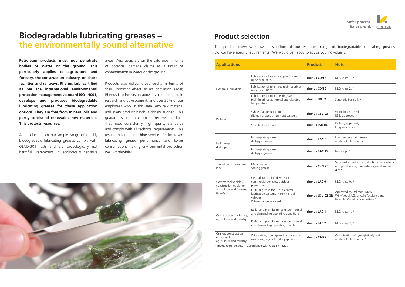### **Biodegradable lubricating greases – the environmentally sound alternative**

**Petroleum products must not penetrate bodies of water or the ground. This particularly applies to agriculture and forestry, the construction industry, on-shore facilities and railways. Rhenus Lub, certified as per the international environmental protection management standard ISO 14001, develops and produces biodegradable lubricating greases for these application options. They are free from mineral oils and partly consist of renewable raw materials. This protects resources.**

All products from our ample range of quickly biodegradable lubricating greases comply with OECD-301 tests and are toxicologically not harmful. Paramount in ecologically sensitive areas! And users are on the safe side in terms of potential damage claims as a result of contamination in water or the ground.

Products also deliver great results in terms of their lubricating effect. As an innovation leader, Rhenus Lub invests an above-average amount in research and development, and over 20% of our employees work in this area. Any raw material and every product batch is closely audited. This guarantees our customers receive products that meet consistently high quality standards and comply with all technical requirements. This results in longer machine service life, improved lubricating grease performance and lower consumption, making environmental protection well worthwhile!

| <b>Applications</b>                                                                     |                                                                                                                                      | <b>Product</b>   | <b>Note</b>                                                                                             |
|-----------------------------------------------------------------------------------------|--------------------------------------------------------------------------------------------------------------------------------------|------------------|---------------------------------------------------------------------------------------------------------|
| General lubrication                                                                     | Lubrication of roller and plain bearings<br>up to max. 80°C                                                                          | rhenus CDN 1     | NLGI class 1, *                                                                                         |
|                                                                                         | Lubrication of roller and plain bearings<br>up to max. 80°C                                                                          | rhenus CDN 2     | NLGI class 2, *                                                                                         |
|                                                                                         | Lubrication of roller bearings and<br>plain bearings at normal and elevated<br>temperatures                                          | rhenus LRU 2     | Synthetic base oil, *                                                                                   |
| Railway                                                                                 | Wheel-flange lubricant,<br>sliding surfaces on turnout systems                                                                       | rhenus CBG 03    | Graphite enriched,<br>REBs approved,*                                                                   |
|                                                                                         | Switch plate lubricant                                                                                                               | rhenus LSN 04    | Railway approved,<br>long service life                                                                  |
| Rail transport,<br>drill pipes                                                          | Buffer-plate grease,<br>drill-pipe grease                                                                                            | rhenus BAC 0     | Low temperature grease,<br>white solid lubricants                                                       |
|                                                                                         | Buffer-plate grease,<br>drill-pipe grease                                                                                            | rhenus BAC 15    | Non-drip, *                                                                                             |
| Tunnel drilling machines,<br>locks                                                      | Main bearings,<br>sealing grease                                                                                                     | rhenus CXN 25    | Very well suited to central lubrication systems<br>and good sealing properties against water/<br>dirt,* |
| Commercial vehicles,<br>construction equipment,<br>agriculture and forestry,<br>railway | Central lubrication devices of<br>commercial vehicles, outdoor<br>power units                                                        | rhenus LAC 0     | NLGI class 0, *                                                                                         |
|                                                                                         | EP fluid grease for use in central<br>lubrication systems in commercial<br>vehicles<br>Wheel-flange lubricant                        | rhenus LDU 02 GR | Approved by Delimon, MAN,<br>Willy Vogel AG, Lincoln Tecalemit and<br>Baier & Köppel, among others*     |
| Construction machinery,<br>agriculture and forestry                                     | Roller and plain bearings under normal<br>and demanding operating conditions                                                         | rhenus LAC 1     | NLGI class 1, *                                                                                         |
|                                                                                         | Roller and plain bearings under normal<br>and demanding operating conditions                                                         | rhenus LAC 2     | NLGI class 2, *                                                                                         |
| Cranes, construction<br>equipment,<br>agriculture and forestry                          | Wire cables, open gears in construction<br>machinery, agricultural equipment<br>* meets requirements in accordance with CEN TR 16227 | rhenus CAD 2     | Combination of synergistically acting<br>white solid lubricants, *                                      |







The product overview shows a selection of our extensive range of biodegradable lubricating greases. Do you have specific requirements? We would be happy to advise you individually.

### **Product selection**